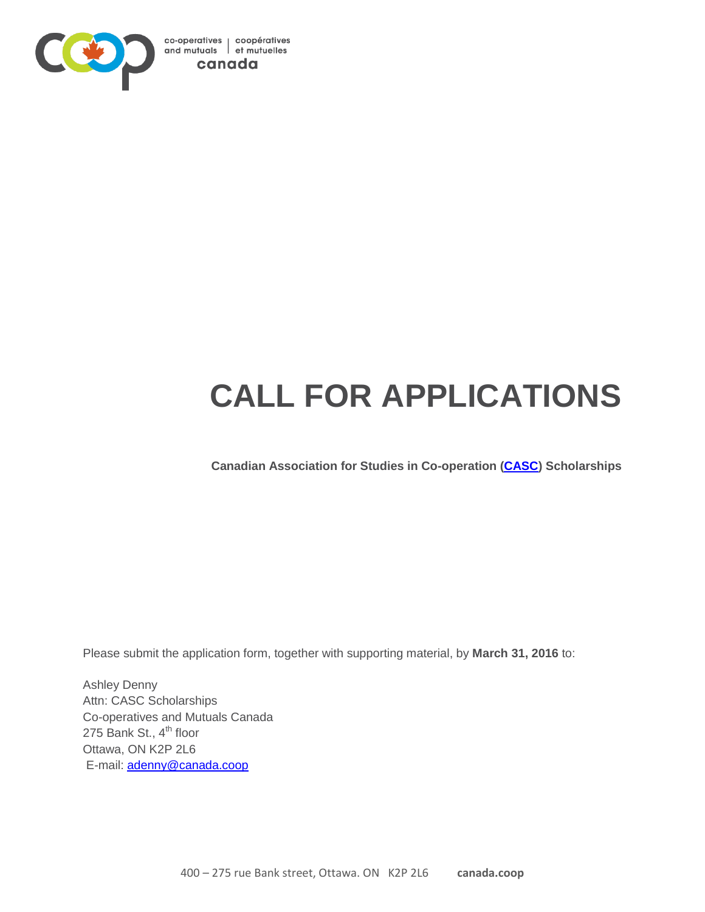

# **CALL FOR APPLICATIONS**

**Canadian Association for Studies in Co-operation [\(CASC\)](http://coopresearch.coop/) Scholarships**

Please submit the application form, together with supporting material, by **March 31, 2016** to:

Ashley Denny Attn: CASC Scholarships Co-operatives and Mutuals Canada 275 Bank St., 4<sup>th</sup> floor Ottawa, ON K2P 2L6 E-mail: [adenny@canada.coop](mailto:adenny@canada.coop)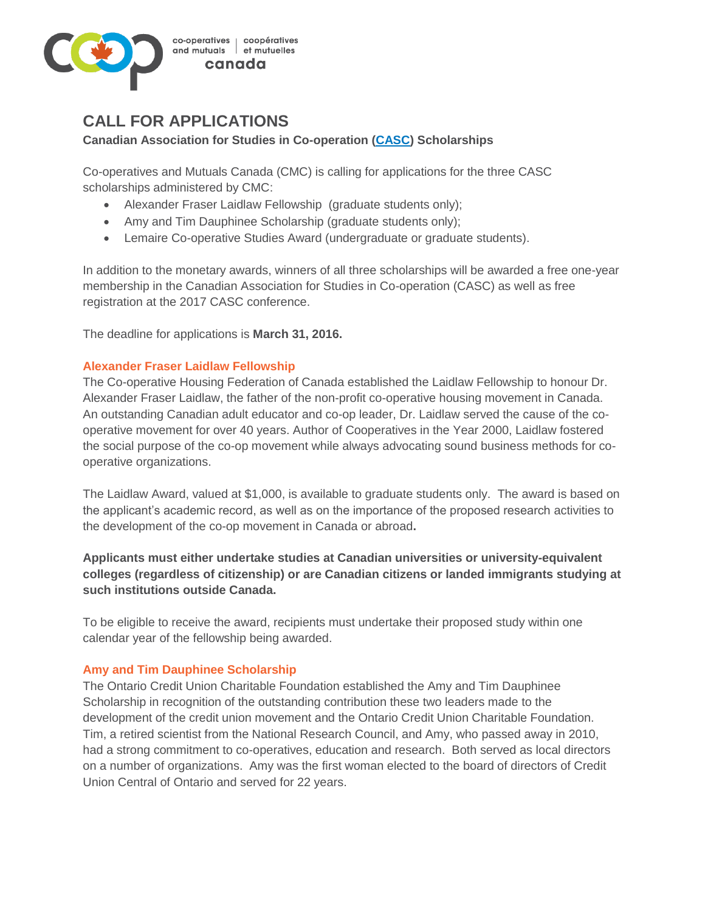

# **CALL FOR APPLICATIONS**

#### **Canadian Association for Studies in Co-operation [\(CASC\)](http://coopresearch.coop/) Scholarships**

Co-operatives and Mutuals Canada (CMC) is calling for applications for the three CASC scholarships administered by CMC:

- Alexander Fraser Laidlaw Fellowship (graduate students only);
- Amy and Tim Dauphinee Scholarship (graduate students only);
- Lemaire Co-operative Studies Award (undergraduate or graduate students).

In addition to the monetary awards, winners of all three scholarships will be awarded a free one-year membership in the Canadian Association for Studies in Co-operation (CASC) as well as free registration at the 2017 CASC conference.

The deadline for applications is **March 31, 2016.** 

#### **Alexander Fraser Laidlaw Fellowship**

The Co-operative Housing Federation of Canada established the Laidlaw Fellowship to honour Dr. Alexander Fraser Laidlaw, the father of the non-profit co-operative housing movement in Canada. An outstanding Canadian adult educator and co-op leader, Dr. Laidlaw served the cause of the cooperative movement for over 40 years. Author of Cooperatives in the Year 2000, Laidlaw fostered the social purpose of the co-op movement while always advocating sound business methods for cooperative organizations.

The Laidlaw Award, valued at \$1,000, is available to graduate students only. The award is based on the applicant's academic record, as well as on the importance of the proposed research activities to the development of the co-op movement in Canada or abroad**.** 

### **Applicants must either undertake studies at Canadian universities or university-equivalent colleges (regardless of citizenship) or are Canadian citizens or landed immigrants studying at such institutions outside Canada.**

To be eligible to receive the award, recipients must undertake their proposed study within one calendar year of the fellowship being awarded.

#### **Amy and Tim Dauphinee Scholarship**

The Ontario Credit Union Charitable Foundation established the Amy and Tim Dauphinee Scholarship in recognition of the outstanding contribution these two leaders made to the development of the credit union movement and the Ontario Credit Union Charitable Foundation. Tim, a retired scientist from the National Research Council, and Amy, who passed away in 2010, had a strong commitment to co-operatives, education and research. Both served as local directors on a number of organizations. Amy was the first woman elected to the board of directors of Credit Union Central of Ontario and served for 22 years.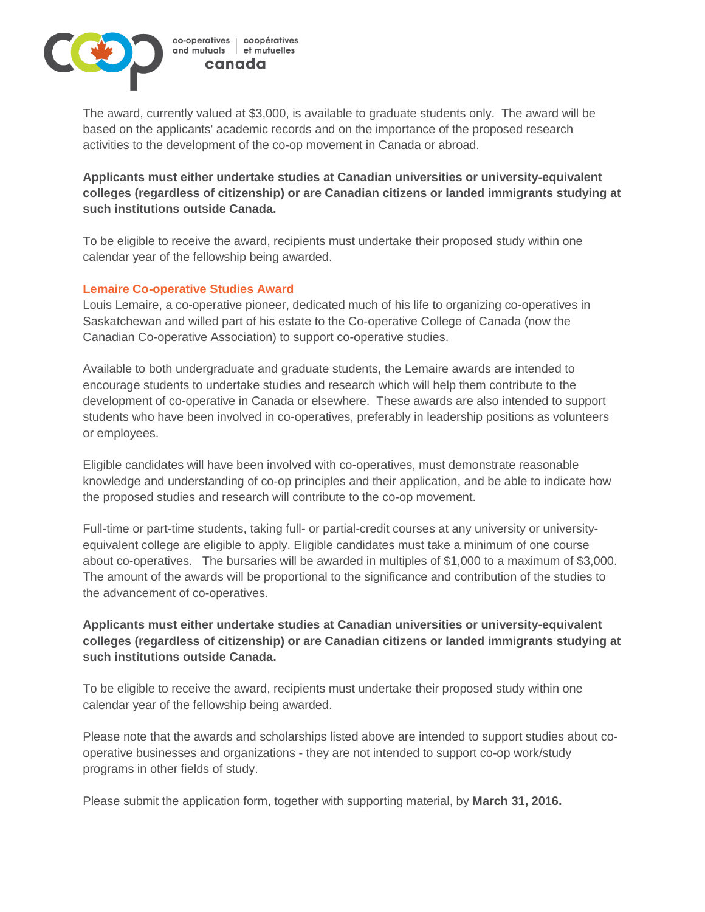

The award, currently valued at \$3,000, is available to graduate students only. The award will be based on the applicants' academic records and on the importance of the proposed research activities to the development of the co-op movement in Canada or abroad.

**Applicants must either undertake studies at Canadian universities or university-equivalent colleges (regardless of citizenship) or are Canadian citizens or landed immigrants studying at such institutions outside Canada.**

To be eligible to receive the award, recipients must undertake their proposed study within one calendar year of the fellowship being awarded.

#### **Lemaire Co-operative Studies Award**

Louis Lemaire, a co-operative pioneer, dedicated much of his life to organizing co-operatives in Saskatchewan and willed part of his estate to the Co-operative College of Canada (now the Canadian Co-operative Association) to support co-operative studies.

Available to both undergraduate and graduate students, the Lemaire awards are intended to encourage students to undertake studies and research which will help them contribute to the development of co-operative in Canada or elsewhere. These awards are also intended to support students who have been involved in co-operatives, preferably in leadership positions as volunteers or employees.

Eligible candidates will have been involved with co-operatives, must demonstrate reasonable knowledge and understanding of co-op principles and their application, and be able to indicate how the proposed studies and research will contribute to the co-op movement.

Full-time or part-time students, taking full- or partial-credit courses at any university or universityequivalent college are eligible to apply. Eligible candidates must take a minimum of one course about co-operatives. The bursaries will be awarded in multiples of \$1,000 to a maximum of \$3,000. The amount of the awards will be proportional to the significance and contribution of the studies to the advancement of co-operatives.

## **Applicants must either undertake studies at Canadian universities or university-equivalent colleges (regardless of citizenship) or are Canadian citizens or landed immigrants studying at such institutions outside Canada.**

To be eligible to receive the award, recipients must undertake their proposed study within one calendar year of the fellowship being awarded.

Please note that the awards and scholarships listed above are intended to support studies about cooperative businesses and organizations - they are not intended to support co-op work/study programs in other fields of study.

Please submit the application form, together with supporting material, by **March 31, 2016.**